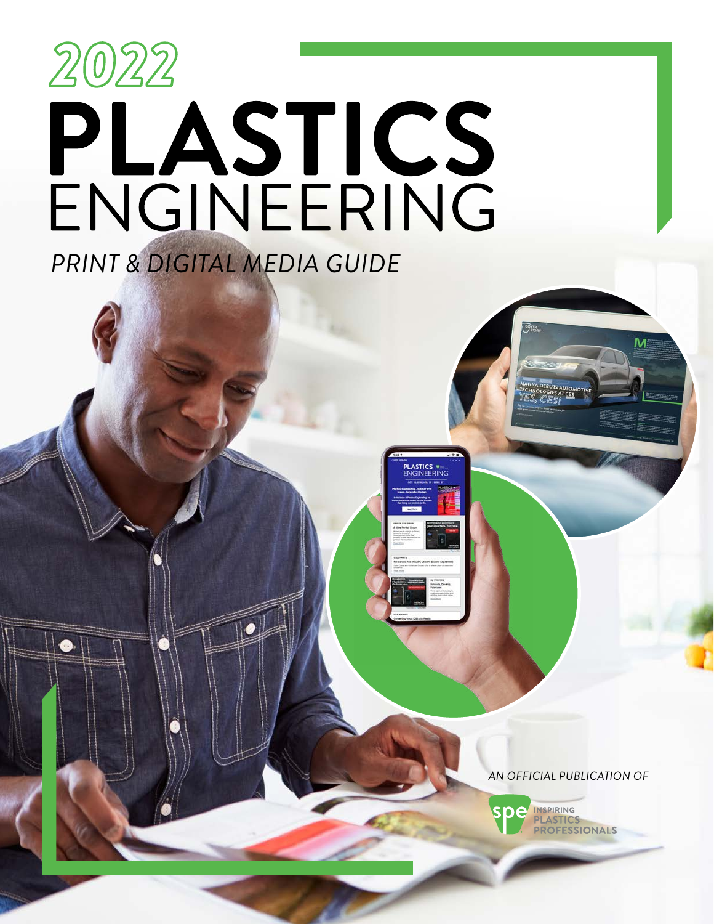# *PRINT & DIGITAL MEDIA GUIDE* 2022<br>**PLASTICS**<br>ENGINEERING

*AN OFFICIAL PUBLICATION OF*

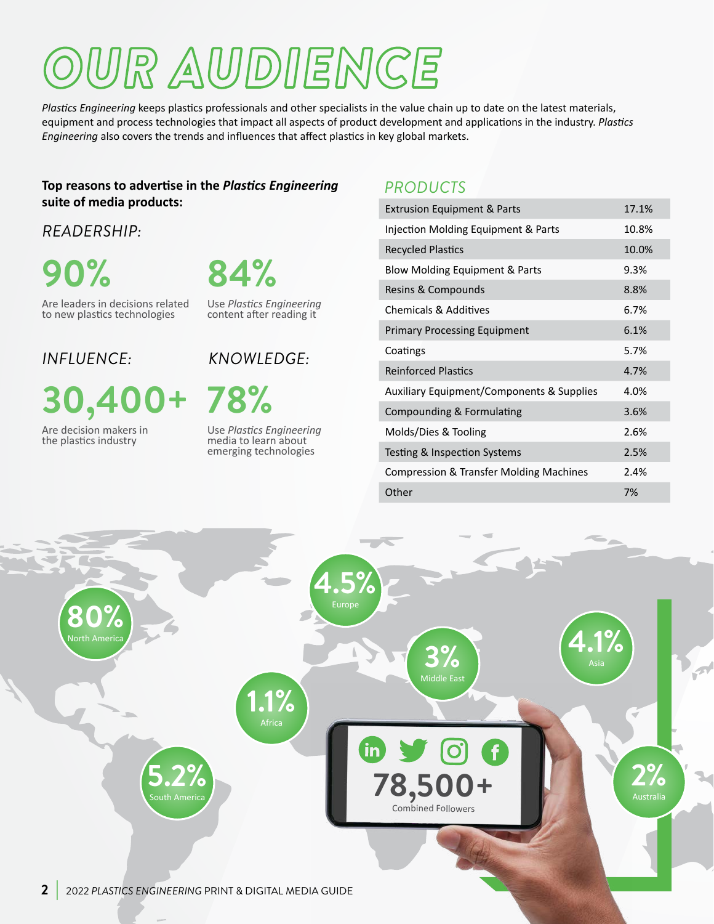# *OUR AUDIENCE*

*Plastics Engineering* keeps plastics professionals and other specialists in the value chain up to date on the latest materials, equipment and process technologies that impact all aspects of product development and applications in the industry. *Plastics Engineering* also covers the trends and influences that affect plastics in key global markets.

#### **Top reasons to advertise in the** *Plastics Engineering* **suite of media products:**

*READERSHIP:*

**90%**

**84%**

Are leaders in decisions related to new plastics technologies

Use *Plastics Engineering* content after reading it

#### *INFLUENCE:*

**30,400+ 78%**

Are decision makers in the plastics industry

#### *KNOWLEDGE:*

Use *Plastics Engineering*

media to learn about emerging technologies

#### *PRODUCTS*

| <b>Extrusion Equipment &amp; Parts</b>               | 17.1% |
|------------------------------------------------------|-------|
| Injection Molding Equipment & Parts                  | 10.8% |
| <b>Recycled Plastics</b>                             | 10.0% |
| Blow Molding Equipment & Parts                       | 9.3%  |
| Resins & Compounds                                   | 8.8%  |
| <b>Chemicals &amp; Additives</b>                     | 6.7%  |
| <b>Primary Processing Equipment</b>                  | 6.1%  |
| Coatings                                             | 5.7%  |
| <b>Reinforced Plastics</b>                           | 4.7%  |
| <b>Auxiliary Equipment/Components &amp; Supplies</b> | 4.0%  |
| Compounding & Formulating                            | 3.6%  |
| Molds/Dies & Tooling                                 | 2.6%  |
| Testing & Inspection Systems                         | 2.5%  |
| Compression & Transfer Molding Machines              | 2.4%  |
| Other                                                | 7%    |

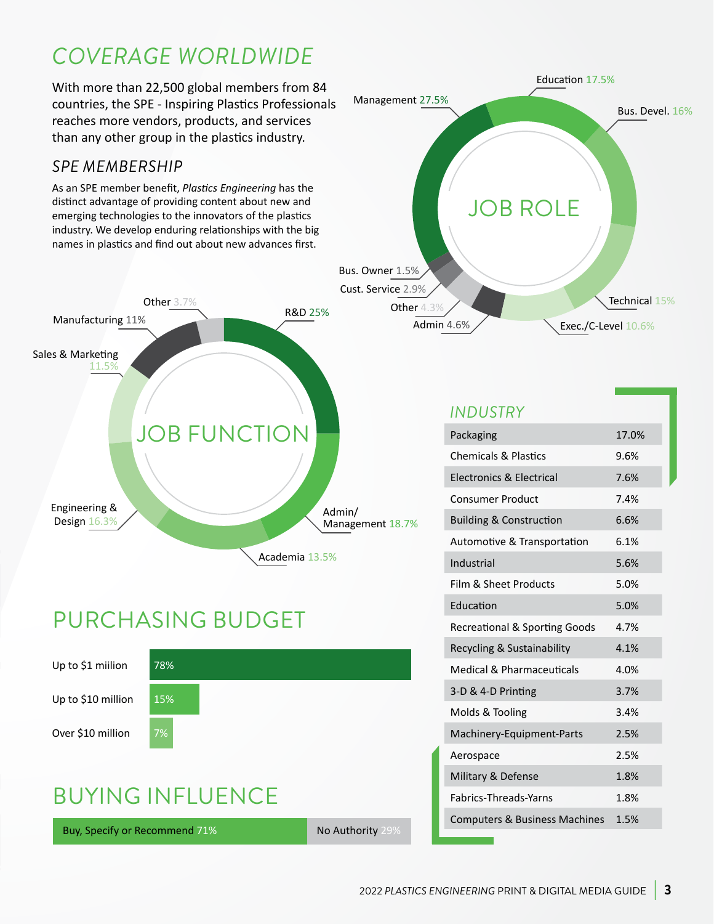# *COVERAGE WORLDWIDE*

With more than 22,500 global members from 84 countries, the SPE - Inspiring Plastics Professionals reaches more vendors, products, and services than any other group in the plastics industry.

#### *SPE MEMBERSHIP*

As an SPE member benefit, *Plastics Engineering* has the distinct advantage of providing content about new and emerging technologies to the innovators of the plastics industry. We develop enduring relationships with the big names in plastics and find out about new advances first.



# PURCHASING BUDGET





#### *INDUSTRY*

| Packaging                                | 17.0% |
|------------------------------------------|-------|
| <b>Chemicals &amp; Plastics</b>          | 9.6%  |
| Electronics & Electrical                 | 7.6%  |
| Consumer Product                         | 7.4%  |
| <b>Building &amp; Construction</b>       | 6.6%  |
| Automotive & Transportation              | 6.1%  |
| Industrial                               | 5.6%  |
| Film & Sheet Products                    | 5.0%  |
| Education                                | 5.0%  |
| <b>Recreational &amp; Sporting Goods</b> | 4.7%  |
| Recycling & Sustainability               | 4.1%  |
| Medical & Pharmaceuticals                | 4.0%  |
| 3-D & 4-D Printing                       | 3.7%  |
| Molds & Tooling                          | 3.4%  |
| Machinery-Equipment-Parts                | 2.5%  |
| Aerospace                                | 2.5%  |
| Military & Defense                       | 1.8%  |
| <b>Fabrics-Threads-Yarns</b>             | 1.8%  |
| <b>Computers &amp; Business Machines</b> | 1.5%  |
|                                          |       |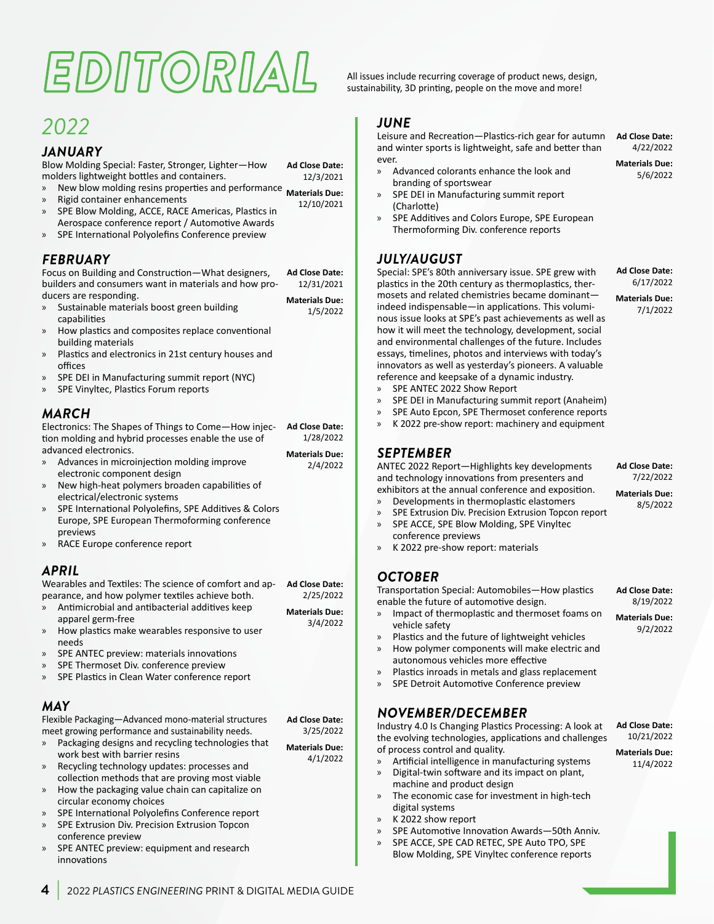# *EDITORIAL*

### *2022*

#### *JANUARY*

Blow Molding Special: Faster, Stronger, Lighter—How molders lightweight bottles and containers. **Ad Close Date:** 12/3/2021

- » New blow molding resins properties and performance **Materials Due:**
- » Rigid container enhancements
- SPE Blow Molding, ACCE, RACE Americas, Plastics in Aerospace conference report / Automotive Awards
- » SPE International Polyolefins Conference preview

#### *FEBRUARY*

Focus on Building and Construction—What designers, builders and consumers want in materials and how producers are responding. **Ad Close Date:** 12/31/2021 **Materials Due:**

- Sustainable materials boost green building capabilities
- How plastics and composites replace conventional building materials
- Plastics and electronics in 21st century houses and offices
- » SPE DEI in Manufacturing summit report (NYC)
- » SPE Vinyltec, Plastics Forum reports

#### *MARCH*

Electronics: The Shapes of Things to Come—How injection molding and hybrid processes enable the use of advanced electronics.

- » Advances in microinjection molding improve electronic component design **Materials Due:** 2/4/2022
- » New high-heat polymers broaden capabilities of electrical/electronic systems
- SPE International Polyolefins, SPE Additives & Colors Europe, SPE European Thermoforming conference previews
- » RACE Europe conference report

#### *APRIL*

Wearables and Textiles: The science of comfort and appearance, and how polymer textiles achieve both. **Ad Close Date:** 2/25/2022

- » Antimicrobial and antibacterial additives keep apparel germ-free **Materials Due:**
- » How plastics make wearables responsive to user needs
- » SPE ANTEC preview: materials innovations
- SPE Thermoset Div. conference preview

work best with barrier resins

SPE Plastics in Clean Water conference report

#### *MAY*

Flexible Packaging—Advanced mono-material structures meet growing performance and sustainability needs.

» Packaging designs and recycling technologies that 3/25/2022

**Materials Due:** 4/1/2022

**Ad Close Date:**

- Recycling technology updates: processes and collection methods that are proving most viable
- » How the packaging value chain can capitalize on circular economy choices
- SPE International Polyolefins Conference report
- SPE Extrusion Div. Precision Extrusion Topcon conference preview
- SPE ANTEC preview: equipment and research innovations

All issues include recurring coverage of product news, design, sustainability, 3D printing, people on the move and more!

#### *JUNE*

Leisure and Recreation—Plastics-rich gear for autumn and winter sports is lightweight, safe and better than ever. **Ad Close Date: Materials Due:**

- » Advanced colorants enhance the look and branding of sportswear
- SPE DEI in Manufacturing summit report (Charlotte)
- SPE Additives and Colors Europe, SPE European Thermoforming Div. conference reports

#### *JULY/AUGUST*

Special: SPE's 80th anniversary issue. SPE grew with plastics in the 20th century as thermoplastics, thermosets and related chemistries became dominant indeed indispensable—in applications. This voluminous issue looks at SPE's past achievements as well as how it will meet the technology, development, social and environmental challenges of the future. Includes essays, timelines, photos and interviews with today's innovators as well as yesterday's pioneers. A valuable reference and keepsake of a dynamic industry.

- » SPE ANTEC 2022 Show Report
- » SPE DEI in Manufacturing summit report (Anaheim)
- » SPE Auto Epcon, SPE Thermoset conference reports
- » K 2022 pre-show report: machinery and equipment

#### *SEPTEMBER*

ANTEC 2022 Report—Highlights key developments and technology innovations from presenters and exhibitors at the annual conference and exposition.

- » Developments in thermoplastic elastomers
- » SPE Extrusion Div. Precision Extrusion Topcon report » SPE ACCE, SPE Blow Molding, SPE Vinyltec
- conference previews » K 2022 pre-show report: materials

#### *OCTOBER*

Transportation Special: Automobiles—How plastics enable the future of automotive design.

- Impact of thermoplastic and thermoset foams on vehicle safety
- Plastics and the future of lightweight vehicles
- » How polymer components will make electric and autonomous vehicles more effective
- » Plastics inroads in metals and glass replacement
- SPE Detroit Automotive Conference preview

#### *NOVEMBER/DECEMBER*

Industry 4.0 Is Changing Plastics Processing: A look at the evolving technologies, applications and challenges of process control and quality.

- » Artificial intelligence in manufacturing systems
- » Digital-twin software and its impact on plant, machine and product design
- » The economic case for investment in high-tech digital systems
- » K 2022 show report
- SPE Automotive Innovation Awards-50th Anniv.
- » SPE ACCE, SPE CAD RETEC, SPE Auto TPO, SPE Blow Molding, SPE Vinyltec conference reports

**Ad Close Date:** 10/21/2022

**Materials Due:** 11/4/2022

**Ad Close Date:** 8/19/2022

**Materials Due:** 9/2/2022

**Ad Close Date:** 7/22/2022 **Materials Due:** 8/5/2022

4/22/2022

5/6/2022

**Ad Close Date:** 6/17/2022 **Materials Due:** 7/1/2022

- 
- 
- 

1/5/2022

**Ad Close Date:** 1/28/2022

3/4/2022

12/10/2021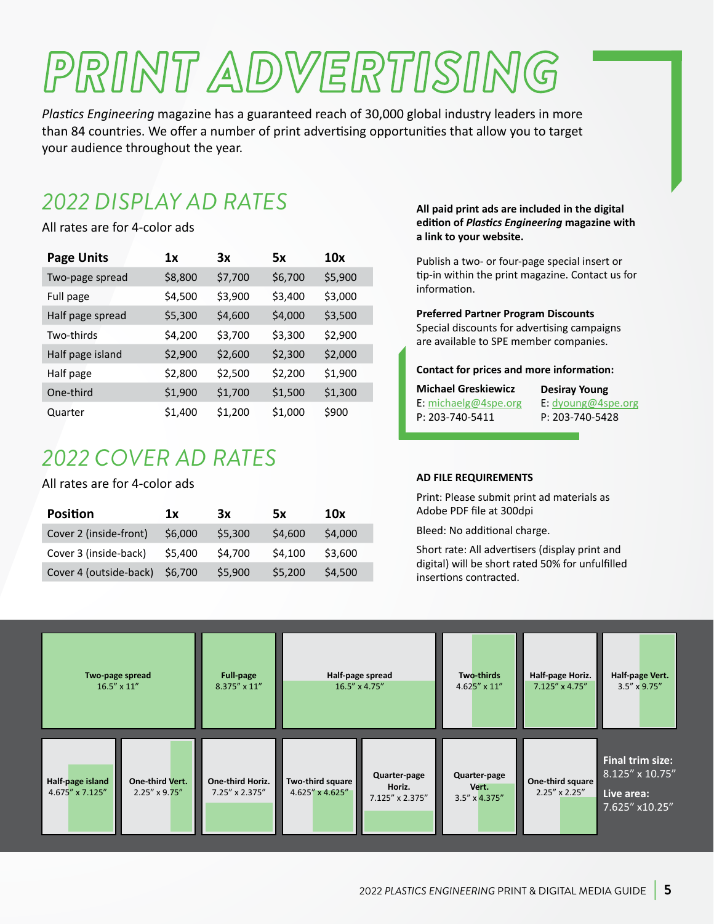# *PRINT ADVERTISING*

*Plastics Engineering* magazine has a guaranteed reach of 30,000 global industry leaders in more than 84 countries. We offer a number of print advertising opportunities that allow you to target your audience throughout the year.

# *2022 DISPLAY AD RATES*

All rates are for 4-color ads

| <b>Page Units</b> | 1x      | 3x      | 5х      | 10x     |
|-------------------|---------|---------|---------|---------|
| Two-page spread   | \$8,800 | \$7,700 | \$6,700 | \$5,900 |
| Full page         | \$4,500 | \$3,900 | \$3,400 | \$3,000 |
| Half page spread  | \$5,300 | \$4,600 | \$4,000 | \$3,500 |
| Two-thirds        | \$4,200 | \$3,700 | \$3,300 | \$2,900 |
| Half page island  | \$2,900 | \$2,600 | \$2,300 | \$2,000 |
| Half page         | \$2,800 | \$2,500 | \$2,200 | \$1,900 |
| One-third         | \$1,900 | \$1,700 | \$1,500 | \$1,300 |
| Quarter           | \$1,400 | \$1,200 | \$1,000 | \$900   |

# *2022 COVER AD RATES*

All rates are for 4-color ads

| <b>Position</b>                | 1x      | Зx      | 5х      | 10x     |
|--------------------------------|---------|---------|---------|---------|
| Cover 2 (inside-front)         | \$6,000 | \$5.300 | \$4,600 | \$4,000 |
| Cover 3 (inside-back)          | \$5.400 | \$4.700 | \$4.100 | \$3.600 |
| Cover 4 (outside-back) \$6,700 |         | \$5,900 | \$5,200 | \$4,500 |

#### **All paid print ads are included in the digital edition of** *Plastics Engineering* **magazine with a link to your website.**

Publish a two- or four-page special insert or tip-in within the print magazine. Contact us for information.

#### **Preferred Partner Program Discounts**

Special discounts for advertising campaigns are available to SPE member companies.

#### **Contact for prices and more information:**

| <b>Michael Greskiewicz</b> | <b>Desiray Young</b> |
|----------------------------|----------------------|
| E: michaelg@4spe.org       | $E:$ dyoung@4spe.org |
| P: 203-740-5411            | P: 203-740-5428      |

#### **AD FILE REQUIREMENTS**

Print: Please submit print ad materials as Adobe PDF file at 300dpi

Bleed: No additional charge.

Short rate: All advertisers (display print and digital) will be short rated 50% for unfulfilled insertions contracted.